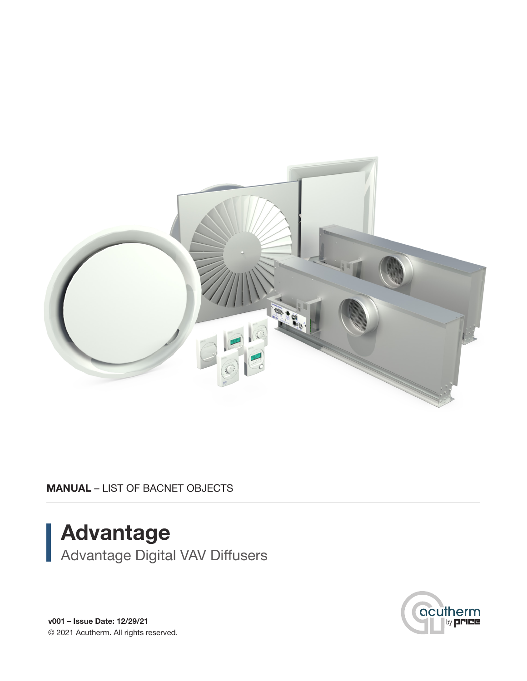

MANUAL – LIST OF BACNET OBJECTS

# Advantage Advantage Digital VAV Diffusers



v001 – Issue Date: 12/29/21 © 2021 Acutherm. All rights reserved.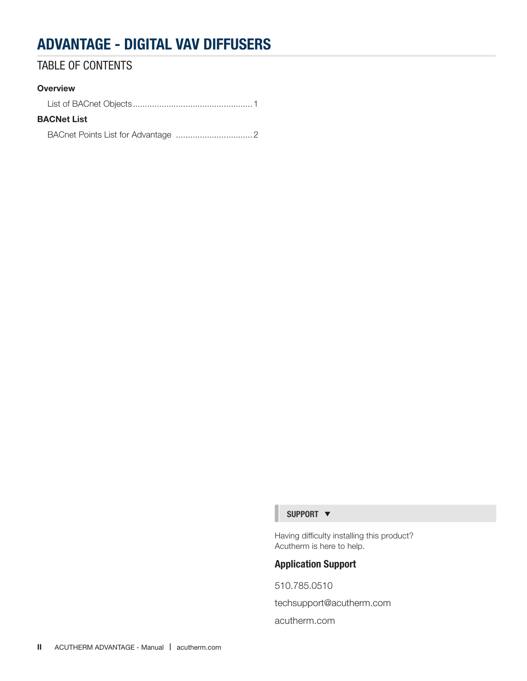## TABLE OF CONTENTS

#### **Overview**

### BACNet List

BACnet Points List for Advantage ................................2

#### SUPPORT  $\blacktriangledown$

Having difficulty installing this product? Acutherm is here to help.

### Application Support

510.785.0510 techsupport@acutherm.com acutherm.com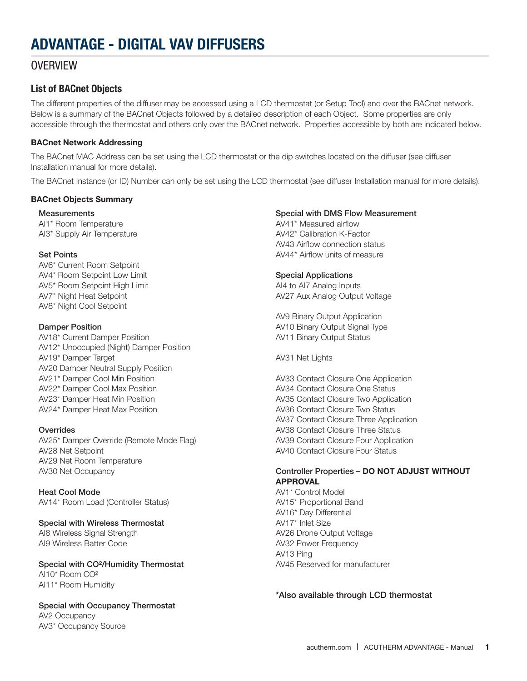### **OVERVIEW**

### List of BACnet Objects

The different properties of the diffuser may be accessed using a LCD thermostat (or Setup Tool) and over the BACnet network. Below is a summary of the BACnet Objects followed by a detailed description of each Object. Some properties are only accessible through the thermostat and others only over the BACnet network. Properties accessible by both are indicated below.

#### BACnet Network Addressing

The BACnet MAC Address can be set using the LCD thermostat or the dip switches located on the diffuser (see diffuser Installation manual for more details).

The BACnet Instance (or ID) Number can only be set using the LCD thermostat (see diffuser Installation manual for more details).

#### BACnet Objects Summary

**Measurements** AI1\* Room Temperature AI3\* Supply Air Temperature

#### Set Points

AV6\* Current Room Setpoint AV4\* Room Setpoint Low Limit AV5\* Room Setpoint High Limit AV7\* Night Heat Setpoint AV8\* Night Cool Setpoint

#### Damper Position

AV18\* Current Damper Position AV12\* Unoccupied (Night) Damper Position AV19\* Damper Target AV20 Damper Neutral Supply Position AV21\* Damper Cool Min Position AV22\* Damper Cool Max Position AV23\* Damper Heat Min Position AV24\* Damper Heat Max Position

#### **Overrides**

AV25\* Damper Override (Remote Mode Flag) AV28 Net Setpoint AV29 Net Room Temperature AV30 Net Occupancy

#### Heat Cool Mode AV14\* Room Load (Controller Status)

### Special with Wireless Thermostat

AI8 Wireless Signal Strength AI9 Wireless Batter Code

#### Special with CO²/Humidity Thermostat AI10\* Room CO² AI11\* Room Humidity

### Special with Occupancy Thermostat

AV2 Occupancy AV3\* Occupancy Source

#### Special with DMS Flow Measurement

AV41\* Measured airflow AV42\* Calibration K-Factor AV43 Airflow connection status AV44\* Airflow units of measure

#### Special Applications

AI4 to AI7 Analog Inputs AV27 Aux Analog Output Voltage

AV9 Binary Output Application AV10 Binary Output Signal Type AV11 Binary Output Status

AV31 Net Lights

AV33 Contact Closure One Application AV34 Contact Closure One Status AV35 Contact Closure Two Application AV36 Contact Closure Two Status AV37 Contact Closure Three Application AV38 Contact Closure Three Status AV39 Contact Closure Four Application AV40 Contact Closure Four Status

#### Controller Properties – DO NOT ADJUST WITHOUT APPROVAL

AV1\* Control Model AV15\* Proportional Band AV16\* Day Differential AV17\* Inlet Size AV26 Drone Output Voltage AV32 Power Frequency AV13 Ping AV45 Reserved for manufacturer

#### \*Also available through LCD thermostat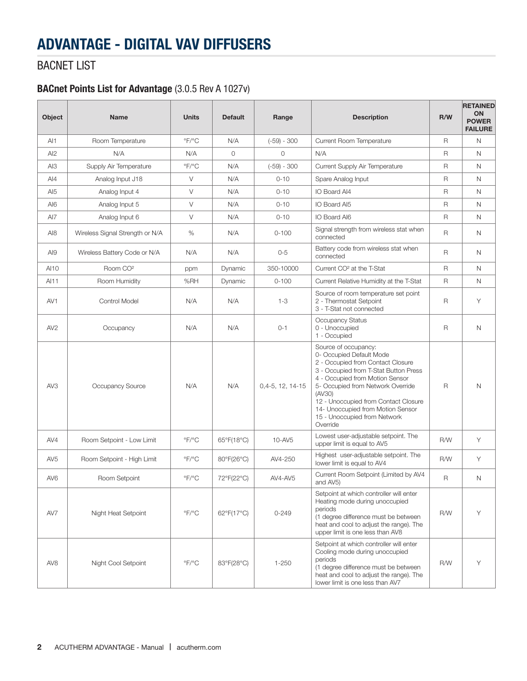## BACNET LIST

### BACnet Points List for Advantage (3.0.5 Rev A 1027v)

| Object          | <b>Name</b>                     | <b>Units</b>              | <b>Default</b>             | Range              | <b>Description</b>                                                                                                                                                                                                                                                                                                                        | R/W          | <b>RETAINED</b><br><b>ON</b><br><b>POWER</b><br><b>FAILURE</b> |
|-----------------|---------------------------------|---------------------------|----------------------------|--------------------|-------------------------------------------------------------------------------------------------------------------------------------------------------------------------------------------------------------------------------------------------------------------------------------------------------------------------------------------|--------------|----------------------------------------------------------------|
| AI1             | Room Temperature                | $\degree$ F/ $\degree$ C  | N/A                        | $(-59) - 300$      | Current Room Temperature                                                                                                                                                                                                                                                                                                                  | $\mathsf{R}$ | N                                                              |
| AI2             | N/A                             | N/A                       | $\circ$                    | 0                  | N/A                                                                                                                                                                                                                                                                                                                                       | R            | $\mathsf{N}$                                                   |
| AI3             | Supply Air Temperature          | $\mathrm{P}F/\mathrm{P}C$ | N/A                        | $(-59) - 300$      | Current Supply Air Temperature                                                                                                                                                                                                                                                                                                            | $\mathsf{R}$ | N                                                              |
| AI4             | Analog Input J18                | $\vee$                    | N/A                        | $0 - 10$           | Spare Analog Input                                                                                                                                                                                                                                                                                                                        | R            | N                                                              |
| AI <sub>5</sub> | Analog Input 4                  | V                         | N/A                        | $0 - 10$           | IO Board Al4                                                                                                                                                                                                                                                                                                                              | R            | N                                                              |
| AI6             | Analog Input 5                  | V                         | N/A                        | $0 - 10$           | IO Board AI5                                                                                                                                                                                                                                                                                                                              | R            | N                                                              |
| AI7             | Analog Input 6                  | V                         | N/A                        | $0 - 10$           | IO Board AI6                                                                                                                                                                                                                                                                                                                              | R            | N                                                              |
| AI <sub>8</sub> | Wireless Signal Strength or N/A | %                         | N/A                        | $0 - 100$          | Signal strength from wireless stat when<br>connected                                                                                                                                                                                                                                                                                      | R            | N                                                              |
| AI9             | Wireless Battery Code or N/A    | N/A                       | N/A                        | $0 - 5$            | Battery code from wireless stat when<br>connected                                                                                                                                                                                                                                                                                         | R            | N                                                              |
| AI10            | Room CO <sup>2</sup>            | ppm                       | Dynamic                    | 350-10000          | Current CO <sup>2</sup> at the T-Stat                                                                                                                                                                                                                                                                                                     | R            | N                                                              |
| AI11            | Room Humidity                   | %RH                       | Dynamic                    | $0 - 100$          | Current Relative Humidity at the T-Stat                                                                                                                                                                                                                                                                                                   | R            | Ν                                                              |
| AV1             | Control Model                   | N/A                       | N/A                        | $1 - 3$            | Source of room temperature set point<br>2 - Thermostat Setpoint<br>3 - T-Stat not connected                                                                                                                                                                                                                                               | $\mathsf{R}$ | Y                                                              |
| AV2             | Occupancy                       | N/A                       | N/A                        | $0 - 1$            | Occupancy Status<br>0 - Unoccupied<br>1 - Occupied                                                                                                                                                                                                                                                                                        | R            | N                                                              |
| AV3             | Occupancy Source                | N/A                       | N/A                        | $0,4-5, 12, 14-15$ | Source of occupancy:<br>0- Occupied Default Mode<br>2 - Occupied from Contact Closure<br>3 - Occupied from T-Stat Button Press<br>4 - Occupied from Motion Sensor<br>5- Occupied from Network Override<br>(AV30)<br>12 - Unoccupied from Contact Closure<br>14- Unoccupied from Motion Sensor<br>15 - Unoccupied from Network<br>Override | R            | N                                                              |
| AV4             | Room Setpoint - Low Limit       | $\mathrm{P}F/\mathrm{P}C$ | $65^{\circ}F(18^{\circ}C)$ | 10-AV5             | Lowest user-adjustable setpoint. The<br>upper limit is equal to AV5                                                                                                                                                                                                                                                                       | R/W          | Y                                                              |
| AV <sub>5</sub> | Room Setpoint - High Limit      | $\mathrm{P}F/\mathrm{P}C$ | 80°F(26°C)                 | AV4-250            | Highest user-adjustable setpoint. The<br>lower limit is equal to AV4                                                                                                                                                                                                                                                                      | R/W          | Y                                                              |
| AV <sub>6</sub> | Room Setpoint                   | $\mathrm{P}F/\mathrm{P}C$ | 72°F(22°C)                 | AV4-AV5            | Current Room Setpoint (Limited by AV4<br>and AV5)                                                                                                                                                                                                                                                                                         | R            | N                                                              |
| AV7             | Night Heat Setpoint             | $\degree$ F/ $\degree$ C  | 62°F(17°C)                 | $0 - 249$          | Setpoint at which controller will enter<br>Heating mode during unoccupied<br>periods<br>(1 degree difference must be between<br>heat and cool to adjust the range). The<br>upper limit is one less than AV8                                                                                                                               | R/W          | Y                                                              |
| AV <sub>8</sub> | Night Cool Setpoint             | $\mathrm{P}F/\mathrm{P}C$ | 83°F(28°C)                 | $1 - 250$          | Setpoint at which controller will enter<br>Cooling mode during unoccupied<br>periods<br>(1 degree difference must be between<br>heat and cool to adjust the range). The<br>lower limit is one less than AV7                                                                                                                               | R/W          | Y                                                              |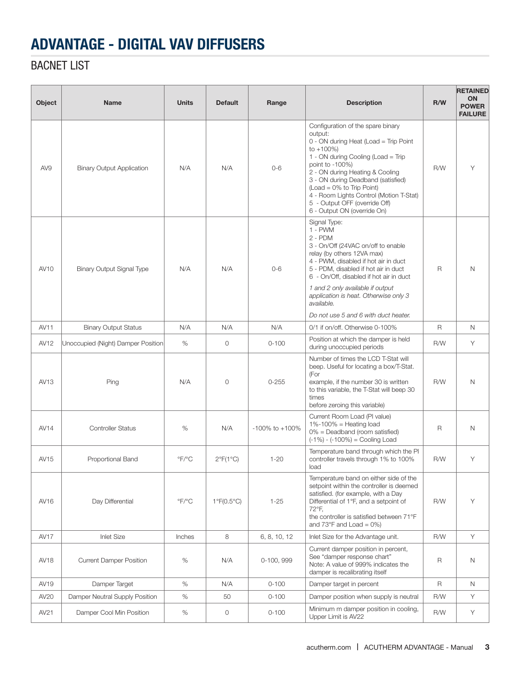## BACNET LIST

| Object      | <b>Name</b>                        | <b>Units</b>              | <b>Default</b>             | Range                | <b>Description</b>                                                                                                                                                                                                                                                                                                                                                               | R/W          | <b>RETAINED</b><br>ON<br><b>POWER</b><br><b>FAILURE</b> |
|-------------|------------------------------------|---------------------------|----------------------------|----------------------|----------------------------------------------------------------------------------------------------------------------------------------------------------------------------------------------------------------------------------------------------------------------------------------------------------------------------------------------------------------------------------|--------------|---------------------------------------------------------|
| AV9         | <b>Binary Output Application</b>   | N/A                       | N/A                        | $0 - 6$              | Configuration of the spare binary<br>output:<br>0 - ON during Heat (Load = Trip Point<br>to $+100%$<br>1 - ON during Cooling (Load = Trip<br>point to -100%)<br>2 - ON during Heating & Cooling<br>3 - ON during Deadband (satisfied)<br>$(Load = 0\% to Trip Point)$<br>4 - Room Lights Control (Motion T-Stat)<br>5 - Output OFF (override Off)<br>6 - Output ON (override On) | R/W          | Υ                                                       |
| <b>AV10</b> | <b>Binary Output Signal Type</b>   | N/A                       | N/A                        | $0 - 6$              | Signal Type:<br>$1 - PWM$<br>$2 - PDM$<br>3 - On/Off (24VAC on/off to enable<br>relay (by others 12VA max)<br>4 - PWM, disabled if hot air in duct<br>5 - PDM, disabled if hot air in duct<br>6 - On/Off, disabled if hot air in duct<br>1 and 2 only available if output<br>application is heat. Otherwise only 3<br>available.<br>Do not use 5 and 6 with duct heater.         | $\mathsf{R}$ | N                                                       |
| <b>AV11</b> | <b>Binary Output Status</b>        | N/A                       | N/A                        | N/A                  | 0/1 if on/off. Otherwise 0-100%                                                                                                                                                                                                                                                                                                                                                  | $\mathsf{R}$ | N                                                       |
| AV12        | Unoccupied (Night) Damper Position | %                         | 0                          | $0 - 100$            | Position at which the damper is held<br>during unoccupied periods                                                                                                                                                                                                                                                                                                                | R/W          | Y                                                       |
| AV13        | Ping                               | N/A                       | $\circ$                    | $0 - 255$            | Number of times the LCD T-Stat will<br>beep. Useful for locating a box/T-Stat.<br>(For<br>example, if the number 30 is written<br>to this variable, the T-Stat will beep 30<br>times<br>before zeroing this variable)                                                                                                                                                            | R/W          | N                                                       |
| AV14        | <b>Controller Status</b>           | %                         | N/A                        | $-100\%$ to $+100\%$ | Current Room Load (PI value)<br>$1\% - 100\% =$ Heating load<br>$0\%$ = Deadband (room satisfied)<br>$(-1%) - (-100%) =$ Cooling Load                                                                                                                                                                                                                                            | R            | N                                                       |
| AV15        | Proportional Band                  | $\mathrm{P}F/\mathrm{P}C$ | $2^{\circ}F(1^{\circ}C)$   | $1 - 20$             | Temperature band through which the PI<br>controller travels through 1% to 100%<br>load                                                                                                                                                                                                                                                                                           | R/W          | Υ                                                       |
| AV16        | Day Differential                   | $\mathrm{P}F/\mathrm{P}C$ | $1^{\circ}F(0.5^{\circ}C)$ | $1 - 25$             | Temperature band on either side of the<br>setpoint within the controller is deemed<br>satisfied. (for example, with a Day<br>Differential of 1°F, and a setpoint of<br>72°F,<br>the controller is satisfied between 71°F<br>and $73^{\circ}$ F and Load = 0%)                                                                                                                    | R/W          | Y                                                       |
| <b>AV17</b> | <b>Inlet Size</b>                  | Inches                    | 8                          | 6, 8, 10, 12         | Inlet Size for the Advantage unit.                                                                                                                                                                                                                                                                                                                                               | R/W          | Y                                                       |
| <b>AV18</b> | <b>Current Damper Position</b>     | $\%$                      | N/A                        | 0-100, 999           | Current damper position in percent,<br>See "damper response chart"<br>Note: A value of 999% indicates the<br>damper is recalibrating itself                                                                                                                                                                                                                                      | R            | $\mathsf{N}$                                            |
| AV19        | Damper Target                      | $\%$                      | N/A                        | $0 - 100$            | Damper target in percent                                                                                                                                                                                                                                                                                                                                                         | R            | N                                                       |
| AV20        | Damper Neutral Supply Position     | $\%$                      | 50                         | $0 - 100$            | Damper position when supply is neutral                                                                                                                                                                                                                                                                                                                                           | R/W          | Y                                                       |
| AV21        | Damper Cool Min Position           | $\%$                      | 0                          | $0 - 100$            | Minimum m damper position in cooling,<br>Upper Limit is AV22                                                                                                                                                                                                                                                                                                                     | R/W          | Y                                                       |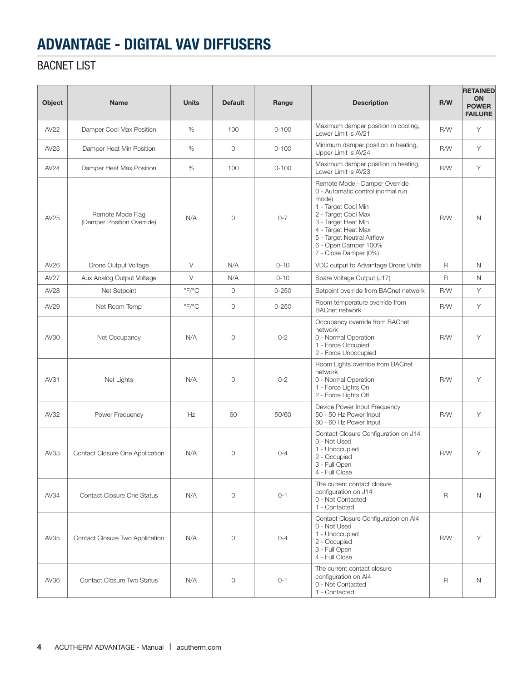## BACNET LIST

| Object      | <b>Name</b>                                    | <b>Units</b>              | <b>Default</b> | Range     | <b>Description</b>                                                                                                                                                                                                                                     | R/W          | <b>RETAINED</b><br><b>ON</b><br><b>POWER</b><br><b>FAILURE</b> |
|-------------|------------------------------------------------|---------------------------|----------------|-----------|--------------------------------------------------------------------------------------------------------------------------------------------------------------------------------------------------------------------------------------------------------|--------------|----------------------------------------------------------------|
| AV22        | Damper Cool Max Position                       | %                         | 100            | $0 - 100$ | Maximum damper position in cooling,<br>Lower Limit is AV21                                                                                                                                                                                             | R/W          | Y                                                              |
| AV23        | Damper Heat Min Position                       | %                         | $\circ$        | $0 - 100$ | Minimum damper position in heating,<br>Upper Limit is AV24                                                                                                                                                                                             | R/W          | Y                                                              |
| AV24        | Damper Heat Max Position                       | %                         | 100            | $0 - 100$ | Maximum damper position in heating,<br>Lower Limit is AV23                                                                                                                                                                                             | R/W          | Y                                                              |
| AV25        | Remote Mode Flag<br>(Damper Position Override) | N/A                       | $\mathbf 0$    | $0 - 7$   | Remote Mode - Damper Override<br>0 - Automatic control (normal run<br>mode)<br>1 - Target Cool Min<br>2 - Target Cool Max<br>3 - Target Heat Min<br>4 - Target Heat Max<br>5 - Target Neutral Airflow<br>6 - Open Damper 100%<br>7 - Close Damper (0%) | R/W          | $\mathsf{N}$                                                   |
| AV26        | Drone Output Voltage                           | $\vee$                    | N/A            | $0 - 10$  | VDC output to Advantage Drone Units                                                                                                                                                                                                                    | $\mathsf{R}$ | N                                                              |
| <b>AV27</b> | Aux Analog Output Voltage                      | $\vee$                    | N/A            | $0 - 10$  | Spare Voltage Output (J17)                                                                                                                                                                                                                             | R            | N                                                              |
| AV28        | Net Setpoint                                   | $\mathrm{P}F/\mathrm{P}C$ | $\circ$        | $0 - 250$ | Setpoint override from BACnet network                                                                                                                                                                                                                  | R/W          | Y                                                              |
| AV29        | Net Room Temp                                  | $\mathrm{P}F/\mathrm{P}C$ | 0              | $0 - 250$ | Room temperature override from<br><b>BACnet network</b>                                                                                                                                                                                                | R/W          | Y                                                              |
| AV30        | Net Occupancy                                  | N/A                       | 0              | $0 - 2$   | Occupancy override from BACnet<br>network<br>0 - Normal Operation<br>1 - Force Occupied<br>2 - Force Unoccupied                                                                                                                                        | R/W          | Y                                                              |
| AV31        | Net Lights                                     | N/A                       | $\circ$        | $0 - 2$   | Room Lights override from BACnet<br>network<br>0 - Normal Operation<br>1 - Force Lights On<br>2 - Force Lights Off                                                                                                                                     | R/W          | Y                                                              |
| AV32        | Power Frequency                                | Hz                        | 60             | 50/60     | Device Power Input Frequency<br>50 - 50 Hz Power Input<br>60 - 60 Hz Power Input                                                                                                                                                                       | R/W          | Y                                                              |
| AV33        | Contact Closure One Application                | N/A                       | $\mathbf 0$    | $0 - 4$   | Contact Closure Configuration on J14<br>0 - Not Used<br>1 - Unoccupied<br>2 - Occupied<br>3 - Full Open<br>4 - Full Close                                                                                                                              | R/W          | Υ                                                              |
| AV34        | Contact Closure One Status                     | N/A                       | $\circ$        | $0 - 1$   | The current contact closure<br>configuration on J14<br>0 - Not Contacted<br>1 - Contacted                                                                                                                                                              | R            | $\mathsf{N}$                                                   |
| AV35        | Contact Closure Two Application                | N/A                       | $\circ$        | $0 - 4$   | Contact Closure Configuration on Al4<br>0 - Not Used<br>1 - Unoccupied<br>2 - Occupied<br>3 - Full Open<br>4 - Full Close                                                                                                                              | R/W          | Y                                                              |
| AV36        | Contact Closure Two Status                     | N/A                       | 0              | $0 - 1$   | The current contact closure<br>configuration on AI4<br>0 - Not Contacted<br>1 - Contacted                                                                                                                                                              | R            | $\mathsf{N}$                                                   |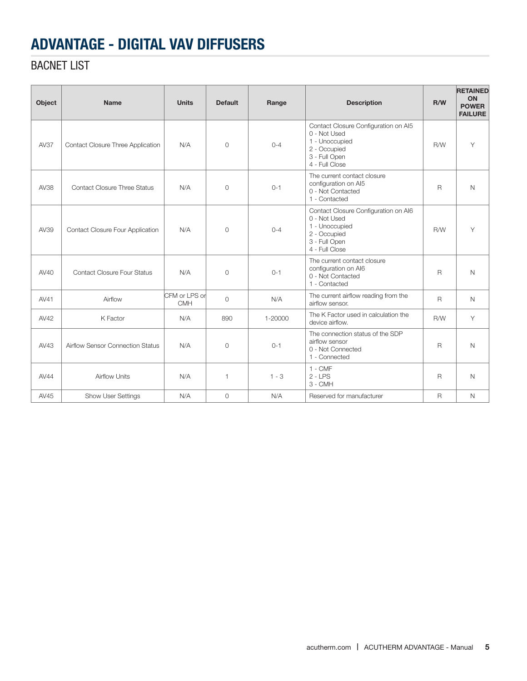## BACNET LIST

| Object      | <b>Name</b>                         | <b>Units</b>                | <b>Default</b> | Range   | <b>Description</b>                                                                                                        | R/W          | <b>RETAINED</b><br><b>ON</b><br><b>POWER</b><br><b>FAILURE</b> |
|-------------|-------------------------------------|-----------------------------|----------------|---------|---------------------------------------------------------------------------------------------------------------------------|--------------|----------------------------------------------------------------|
| <b>AV37</b> | Contact Closure Three Application   | N/A                         | $\circ$        | $0 - 4$ | Contact Closure Configuration on Al5<br>0 - Not Used<br>1 - Unoccupied<br>2 - Occupied<br>3 - Full Open<br>4 - Full Close | R/W          | Y                                                              |
| AV38        | <b>Contact Closure Three Status</b> | N/A                         | $\circ$        | $0 - 1$ | The current contact closure<br>configuration on AI5<br>0 - Not Contacted<br>1 - Contacted                                 | $\mathsf{R}$ | $\mathsf{N}$                                                   |
| AV39        | Contact Closure Four Application    | N/A                         | $\Omega$       | $0 - 4$ | Contact Closure Configuration on AI6<br>0 - Not Used<br>1 - Unoccupied<br>2 - Occupied<br>3 - Full Open<br>4 - Full Close | R/W          | Y                                                              |
| AV40        | <b>Contact Closure Four Status</b>  | N/A                         | $\circ$        | $0 - 1$ | The current contact closure<br>configuration on AI6<br>0 - Not Contacted<br>1 - Contacted                                 | $\mathsf{R}$ | N                                                              |
| AV41        | Airflow                             | CFM or LPS or<br><b>CMH</b> | $\circ$        | N/A     | The current airflow reading from the<br>airflow sensor.                                                                   | $\mathsf{R}$ | $\mathbb N$                                                    |
| AV42        | K Factor                            | N/A                         | 890            | 1-20000 | The K Factor used in calculation the<br>device airflow.                                                                   | R/W          | Y                                                              |
| AV43        | Airflow Sensor Connection Status    | N/A                         | $\Omega$       | $0 - 1$ | The connection status of the SDP<br>airflow sensor<br>0 - Not Connected<br>1 - Connected                                  | $\mathsf{R}$ | N                                                              |
| AV44        | <b>Airflow Units</b>                | N/A                         | $\mathbf{1}$   | $1 - 3$ | $1 - CMF$<br>$2 - LPS$<br>3 - CMH                                                                                         | $\mathsf{R}$ | N                                                              |
| AV45        | <b>Show User Settings</b>           | N/A                         | $\circ$        | N/A     | Reserved for manufacturer                                                                                                 | $\mathsf{R}$ | $\mathsf{N}$                                                   |